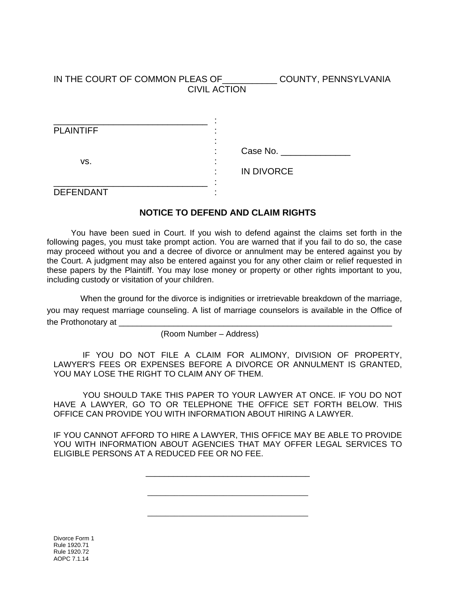IN THE COURT OF COMMON PLEAS OF\_\_\_\_\_\_\_\_\_\_\_ COUNTY, PENNSYLVANIA CIVIL ACTION

| <b>PLAINTIFF</b> |                                     |
|------------------|-------------------------------------|
| VS.              |                                     |
|                  | Case No. ___<br>٠<br>$\blacksquare$ |
|                  |                                     |
|                  | <b>IN DIVORCE</b>                   |
|                  | ٠                                   |
| <b>DEFENDANT</b> |                                     |

## **NOTICE TO DEFEND AND CLAIM RIGHTS**

 You have been sued in Court. If you wish to defend against the claims set forth in the following pages, you must take prompt action. You are warned that if you fail to do so, the case may proceed without you and a decree of divorce or annulment may be entered against you by the Court. A judgment may also be entered against you for any other claim or relief requested in these papers by the Plaintiff. You may lose money or property or other rights important to you, including custody or visitation of your children.

When the ground for the divorce is indignities or irretrievable breakdown of the marriage, you may request marriage counseling. A list of marriage counselors is available in the Office of the Prothonotary at \_\_\_\_\_

(Room Number – Address)

 IF YOU DO NOT FILE A CLAIM FOR ALIMONY, DIVISION OF PROPERTY, LAWYER'S FEES OR EXPENSES BEFORE A DIVORCE OR ANNULMENT IS GRANTED, YOU MAY LOSE THE RIGHT TO CLAIM ANY OF THEM.

 YOU SHOULD TAKE THIS PAPER TO YOUR LAWYER AT ONCE. IF YOU DO NOT HAVE A LAWYER, GO TO OR TELEPHONE THE OFFICE SET FORTH BELOW. THIS OFFICE CAN PROVIDE YOU WITH INFORMATION ABOUT HIRING A LAWYER.

IF YOU CANNOT AFFORD TO HIRE A LAWYER, THIS OFFICE MAY BE ABLE TO PROVIDE YOU WITH INFORMATION ABOUT AGENCIES THAT MAY OFFER LEGAL SERVICES TO ELIGIBLE PERSONS AT A REDUCED FEE OR NO FEE.

\_\_\_\_\_\_\_\_\_\_\_\_\_\_\_\_\_\_\_\_\_\_\_\_\_\_\_\_\_\_\_\_\_\_\_\_

\_\_\_\_\_\_\_\_\_\_\_\_\_\_\_\_\_\_\_\_\_\_\_\_\_\_\_\_\_\_\_\_\_\_\_\_

\_\_\_\_\_\_\_\_\_\_\_\_\_\_\_\_\_\_\_\_\_\_\_\_\_\_\_\_\_\_\_\_\_\_\_\_

Divorce Form 1 Rule 1920.71 Rule 1920.72 AOPC 7.1.14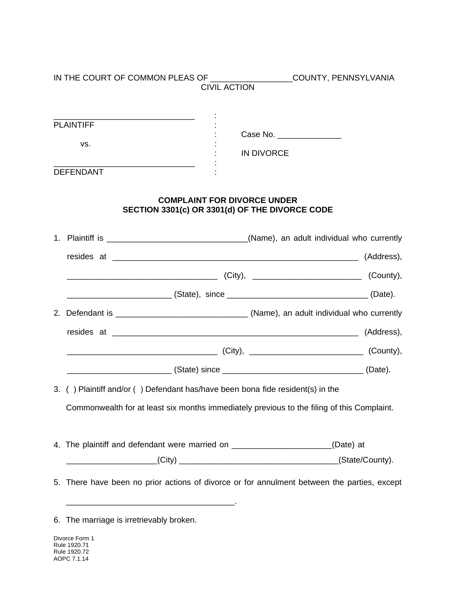|  |                                                                                                                                                                                                                               | <b>CIVIL ACTION</b>                                                                  | IN THE COURT OF COMMON PLEAS OF ____________________COUNTY, PENNSYLVANIA |  |
|--|-------------------------------------------------------------------------------------------------------------------------------------------------------------------------------------------------------------------------------|--------------------------------------------------------------------------------------|--------------------------------------------------------------------------|--|
|  |                                                                                                                                                                                                                               |                                                                                      |                                                                          |  |
|  | <b>PLAINTIFF</b>                                                                                                                                                                                                              |                                                                                      |                                                                          |  |
|  | VS.                                                                                                                                                                                                                           | Case No. ________________                                                            |                                                                          |  |
|  |                                                                                                                                                                                                                               | <b>IN DIVORCE</b>                                                                    |                                                                          |  |
|  | <b>DEFENDANT</b>                                                                                                                                                                                                              |                                                                                      |                                                                          |  |
|  |                                                                                                                                                                                                                               | <b>COMPLAINT FOR DIVORCE UNDER</b><br>SECTION 3301(c) OR 3301(d) OF THE DIVORCE CODE |                                                                          |  |
|  |                                                                                                                                                                                                                               |                                                                                      |                                                                          |  |
|  |                                                                                                                                                                                                                               |                                                                                      |                                                                          |  |
|  |                                                                                                                                                                                                                               |                                                                                      |                                                                          |  |
|  |                                                                                                                                                                                                                               |                                                                                      |                                                                          |  |
|  |                                                                                                                                                                                                                               |                                                                                      |                                                                          |  |
|  |                                                                                                                                                                                                                               |                                                                                      |                                                                          |  |
|  | (County), 2008. [City], 2008. [County], 2009. [County], 2009. [County], 2009. [County], 2009. [County], 2009. [County], 2009. [County], 2009. [County], 2009. [County], 2009. [County], 2009. [County], 2009. [County], 2009. |                                                                                      |                                                                          |  |
|  |                                                                                                                                                                                                                               |                                                                                      |                                                                          |  |
|  | 3. () Plaintiff and/or () Defendant has/have been bona fide resident(s) in the                                                                                                                                                |                                                                                      |                                                                          |  |
|  | Commonwealth for at least six months immediately previous to the filing of this Complaint.                                                                                                                                    |                                                                                      |                                                                          |  |
|  | 4. The plaintiff and defendant were married on _______________________(Date) at                                                                                                                                               |                                                                                      |                                                                          |  |
|  | (State/County).                                                                                                                                                                                                               |                                                                                      |                                                                          |  |
|  | 5. There have been no prior actions of divorce or for annulment between the parties, except                                                                                                                                   |                                                                                      |                                                                          |  |

<sup>6.</sup> The marriage is irretrievably broken.